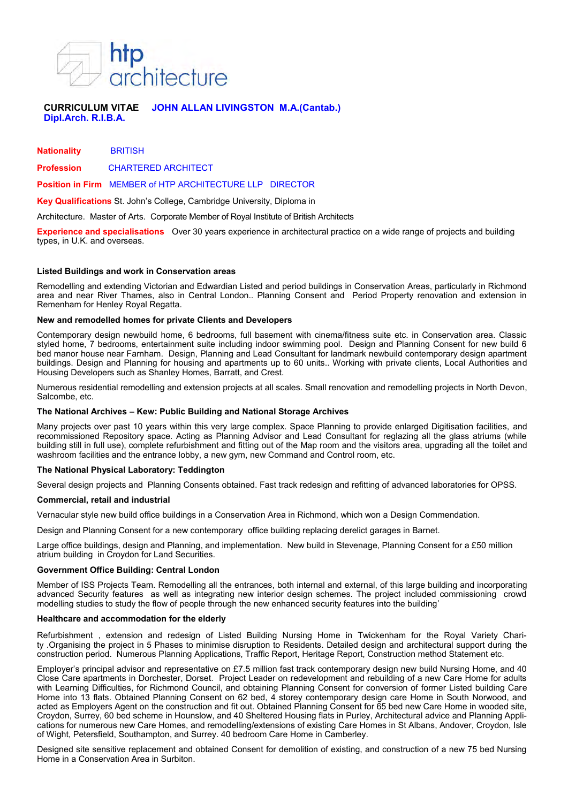

# **CURRICULUM VITAE JOHN ALLAN LIVINGSTON M.A.(Cantab.) Dipl.Arch. R.I.B.A.**

**Nationality** BRITISH

**Profession** CHARTERED ARCHITECT

**Position in Firm** MEMBER of HTP ARCHITECTURE LLP DIRECTOR

**Key Qualifications** St. John's College, Cambridge University, Diploma in

Architecture. Master of Arts. Corporate Member of Royal Institute of British Architects

**Experience and specialisations** Over 30 years experience in architectural practice on a wide range of projects and building types, in U.K. and overseas.

### **Listed Buildings and work in Conservation areas**

Remodelling and extending Victorian and Edwardian Listed and period buildings in Conservation Areas, particularly in Richmond area and near River Thames, also in Central London.. Planning Consent and Period Property renovation and extension in Remenham for Henley Royal Regatta.

## **New and remodelled homes for private Clients and Developers**

Contemporary design newbuild home, 6 bedrooms, full basement with cinema/fitness suite etc. in Conservation area. Classic styled home, 7 bedrooms, entertainment suite including indoor swimming pool. Design and Planning Consent for new build 6 bed manor house near Farnham. Design, Planning and Lead Consultant for landmark newbuild contemporary design apartment buildings. Design and Planning for housing and apartments up to 60 units.. Working with private clients, Local Authorities and Housing Developers such as Shanley Homes, Barratt, and Crest.

Numerous residential remodelling and extension projects at all scales. Small renovation and remodelling projects in North Devon, Salcombe, etc.

## **The National Archives – Kew: Public Building and National Storage Archives**

Many projects over past 10 years within this very large complex. Space Planning to provide enlarged Digitisation facilities, and recommissioned Repository space. Acting as Planning Advisor and Lead Consultant for reglazing all the glass atriums (while building still in full use), complete refurbishment and fitting out of the Map room and the visitors area, upgrading all the toilet and washroom facilities and the entrance lobby, a new gym, new Command and Control room, etc.

#### **The National Physical Laboratory: Teddington**

Several design projects and Planning Consents obtained. Fast track redesign and refitting of advanced laboratories for OPSS.

#### **Commercial, retail and industrial**

Vernacular style new build office buildings in a Conservation Area in Richmond, which won a Design Commendation.

Design and Planning Consent for a new contemporary office building replacing derelict garages in Barnet.

Large office buildings, design and Planning, and implementation. New build in Stevenage, Planning Consent for a £50 million atrium building in Croydon for Land Securities.

#### **Government Office Building: Central London**

Member of ISS Projects Team. Remodelling all the entrances, both internal and external, of this large building and incorporating advanced Security features as well as integrating new interior design schemes. The project included commissioning crowd modelling studies to study the flow of people through the new enhanced security features into the building'

#### **Healthcare and accommodation for the elderly**

Refurbishment , extension and redesign of Listed Building Nursing Home in Twickenham for the Royal Variety Charity .Organising the project in 5 Phases to minimise disruption to Residents. Detailed design and architectural support during the construction period. Numerous Planning Applications, Traffic Report, Heritage Report, Construction method Statement etc.

Employer's principal advisor and representative on £7.5 million fast track contemporary design new build Nursing Home, and 40 Close Care apartments in Dorchester, Dorset. Project Leader on redevelopment and rebuilding of a new Care Home for adults with Learning Difficulties, for Richmond Council, and obtaining Planning Consent for conversion of former Listed building Care Home into 13 flats. Obtained Planning Consent on 62 bed, 4 storey contemporary design care Home in South Norwood, and acted as Employers Agent on the construction and fit out. Obtained Planning Consent for 65 bed new Care Home in wooded site, Croydon, Surrey, 60 bed scheme in Hounslow, and 40 Sheltered Housing flats in Purley, Architectural advice and Planning Applications for numerous new Care Homes, and remodelling/extensions of existing Care Homes in St Albans, Andover, Croydon, Isle of Wight, Petersfield, Southampton, and Surrey. 40 bedroom Care Home in Camberley.

Designed site sensitive replacement and obtained Consent for demolition of existing, and construction of a new 75 bed Nursing Home in a Conservation Area in Surbiton.